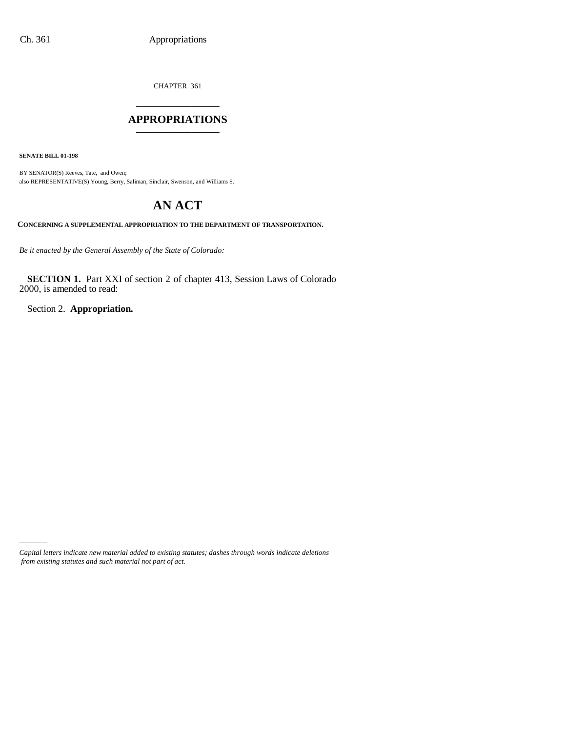CHAPTER 361 \_\_\_\_\_\_\_\_\_\_\_\_\_\_\_

### **APPROPRIATIONS** \_\_\_\_\_\_\_\_\_\_\_\_\_\_\_

**SENATE BILL 01-198**

BY SENATOR(S) Reeves, Tate, and Owen; also REPRESENTATIVE(S) Young, Berry, Saliman, Sinclair, Swenson, and Williams S.

# **AN ACT**

**CONCERNING A SUPPLEMENTAL APPROPRIATION TO THE DEPARTMENT OF TRANSPORTATION.**

*Be it enacted by the General Assembly of the State of Colorado:*

**SECTION 1.** Part XXI of section 2 of chapter 413, Session Laws of Colorado 2000, is amended to read:

Section 2. **Appropriation.**

*Capital letters indicate new material added to existing statutes; dashes through words indicate deletions from existing statutes and such material not part of act.*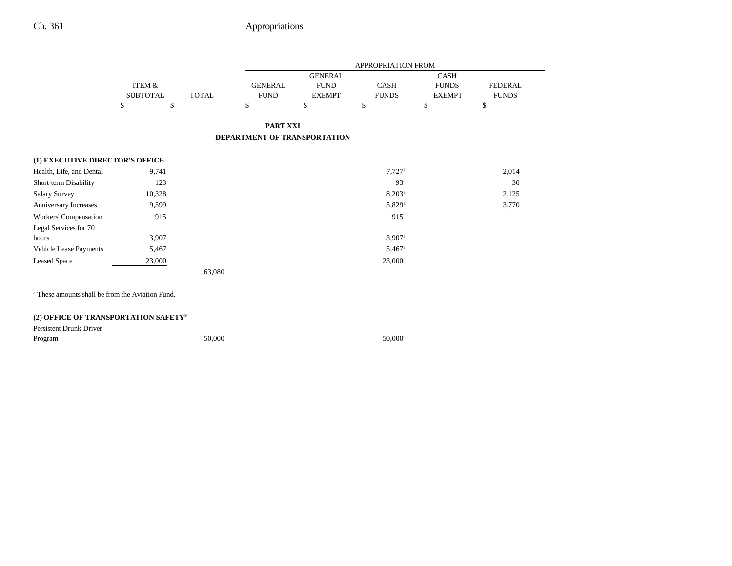## Ch. 361 Appropriations

÷

|                                 |                 |              | APPROPRIATION FROM           |                |                      |               |                |  |
|---------------------------------|-----------------|--------------|------------------------------|----------------|----------------------|---------------|----------------|--|
|                                 |                 |              |                              | <b>GENERAL</b> |                      | <b>CASH</b>   |                |  |
|                                 | ITEM &          |              | <b>GENERAL</b>               | <b>FUND</b>    | <b>CASH</b>          | <b>FUNDS</b>  | <b>FEDERAL</b> |  |
|                                 | <b>SUBTOTAL</b> | <b>TOTAL</b> | <b>FUND</b>                  | <b>EXEMPT</b>  | <b>FUNDS</b>         | <b>EXEMPT</b> | <b>FUNDS</b>   |  |
|                                 | \$              | \$           | \$                           | \$             | \$                   | \$            | \$             |  |
|                                 |                 |              | <b>PART XXI</b>              |                |                      |               |                |  |
|                                 |                 |              | DEPARTMENT OF TRANSPORTATION |                |                      |               |                |  |
| (1) EXECUTIVE DIRECTOR'S OFFICE |                 |              |                              |                |                      |               |                |  |
| Health, Life, and Dental        | 9,741           |              |                              |                | $7,727$ <sup>a</sup> |               | 2,014          |  |
| Short-term Disability           | 123             |              |                              |                | 93 <sup>a</sup>      |               | 30             |  |
| <b>Salary Survey</b>            | 10,328          |              |                              |                | $8,203^{\circ}$      |               | 2,125          |  |
| Anniversary Increases           | 9,599           |              |                              |                | 5,829 <sup>a</sup>   |               | 3,770          |  |
| Workers' Compensation           | 915             |              |                              |                | 915 <sup>a</sup>     |               |                |  |
| Legal Services for 70           |                 |              |                              |                |                      |               |                |  |
| hours                           | 3,907           |              |                              |                | $3,907$ <sup>a</sup> |               |                |  |
| Vehicle Lease Payments          | 5,467           |              |                              |                | $5,467$ <sup>a</sup> |               |                |  |
| <b>Leased Space</b>             | 23,000          |              |                              |                | $23,000^a$           |               |                |  |
|                                 |                 | 63,080       |                              |                |                      |               |                |  |
|                                 |                 |              |                              |                |                      |               |                |  |

a These amounts shall be from the Aviation Fund.

## **(2) OFFICE OF TRANSPORTATION SAFETY9**

| Persistent Drunk Driver |  |
|-------------------------|--|
|-------------------------|--|

| Program | 50,000 | 50,000 <sup>a</sup> |
|---------|--------|---------------------|
|         |        |                     |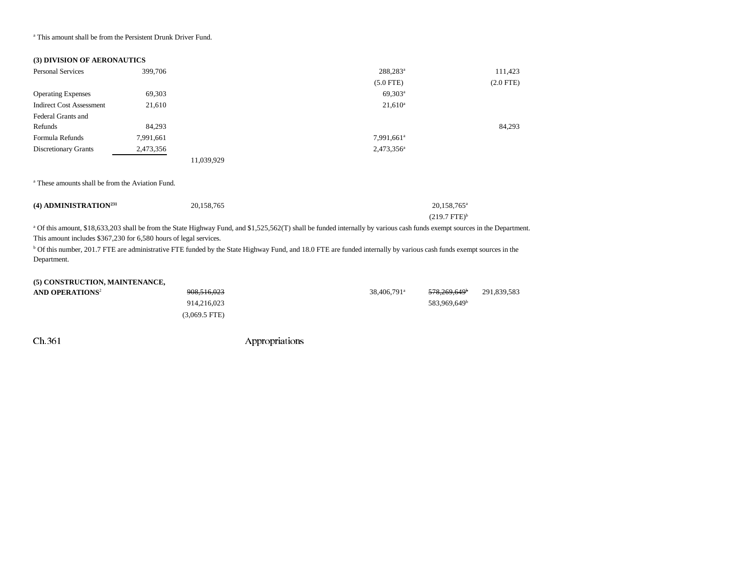a This amount shall be from the Persistent Drunk Driver Fund.

|  | (3) DIVISION OF AERONAUTICS |
|--|-----------------------------|
|  |                             |

| <b>Personal Services</b>        | 399,706   |            | 288,283 <sup>a</sup>   | 111,423        |
|---------------------------------|-----------|------------|------------------------|----------------|
|                                 |           |            | $(5.0$ FTE)            | $(2.0$ FTE $)$ |
| <b>Operating Expenses</b>       | 69,303    |            | $69,303^{\rm a}$       |                |
| <b>Indirect Cost Assessment</b> | 21,610    |            | $21,610^a$             |                |
| Federal Grants and              |           |            |                        |                |
| Refunds                         | 84,293    |            |                        | 84,293         |
| Formula Refunds                 | 7,991,661 |            | 7,991,661 <sup>a</sup> |                |
| Discretionary Grants            | 2,473,356 |            | 2,473,356 <sup>a</sup> |                |
|                                 |           | 11,039,929 |                        |                |

a These amounts shall be from the Aviation Fund.

| (4) ADMINISTRATION <sup>231</sup> | 20,158,765 | 20,158,765 <sup>a</sup> |
|-----------------------------------|------------|-------------------------|
|                                   |            | $(219.7 \text{ FTE})^b$ |

<sup>a</sup> Of this amount, \$18,633,203 shall be from the State Highway Fund, and \$1,525,562(T) shall be funded internally by various cash funds exempt sources in the Department. This amount includes \$367,230 for 6,580 hours of legal services.

<sup>b</sup> Of this number, 201.7 FTE are administrative FTE funded by the State Highway Fund, and 18.0 FTE are funded internally by various cash funds exempt sources in the Department.

| (5) CONSTRUCTION, MAINTENANCE, |                 |                         |                          |             |
|--------------------------------|-----------------|-------------------------|--------------------------|-------------|
| AND OPERATIONS <sup>2</sup>    | 908,516,023     | 38,406,791 <sup>a</sup> | <del>578.269.649</del>   | 291.839.583 |
|                                | 914.216.023     |                         | 583.969.649 <sup>b</sup> |             |
|                                | $(3,069.5$ FTE) |                         |                          |             |

Ch.361 Appropriations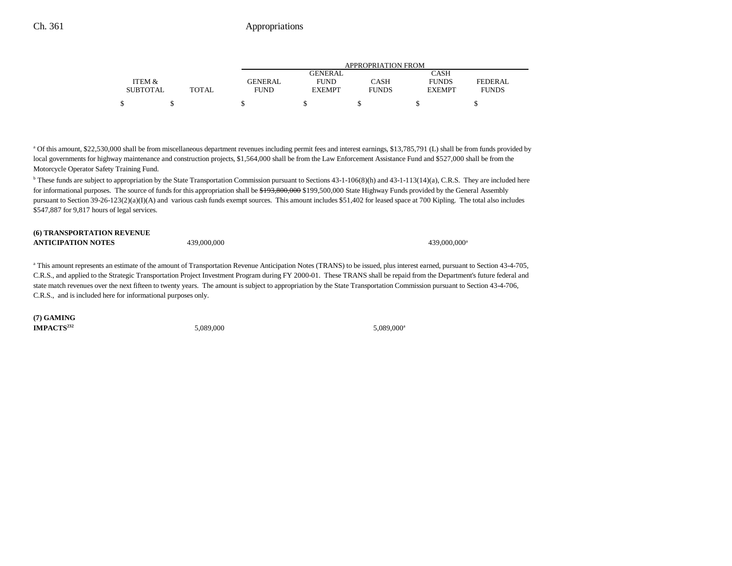|                 |       | APPROPRIATION FROM |                |              |               |              |  |  |
|-----------------|-------|--------------------|----------------|--------------|---------------|--------------|--|--|
|                 |       |                    | <b>GENERAL</b> |              | CASH          |              |  |  |
| ITEM &          |       | GENERAL            | <b>FUND</b>    | CASH         | <b>FUNDS</b>  | FEDERAL      |  |  |
| <b>SUBTOTAL</b> | TOTAL | <b>FUND</b>        | <b>EXEMPT</b>  | <b>FUNDS</b> | <b>EXEMPT</b> | <b>FUNDS</b> |  |  |
| \$              |       |                    |                |              |               |              |  |  |

a Of this amount, \$22,530,000 shall be from miscellaneous department revenues including permit fees and interest earnings, \$13,785,791 (L) shall be from funds provided by local governments for highway maintenance and construction projects, \$1,564,000 shall be from the Law Enforcement Assistance Fund and \$527,000 shall be from the Motorcycle Operator Safety Training Fund.

<sup>b</sup> These funds are subject to appropriation by the State Transportation Commission pursuant to Sections 43-1-106(8)(h) and 43-1-113(14)(a), C.R.S. They are included here for informational purposes. The source of funds for this appropriation shall be \$193,800,000 \$199,500,000 State Highway Funds provided by the General Assembly pursuant to Section 39-26-123(2)(a)(I)(A) and various cash funds exempt sources. This amount includes \$51,402 for leased space at 700 Kipling. The total also includes \$547,887 for 9,817 hours of legal services.

#### **(6) TRANSPORTATION REVENUE ANTICIPATION NOTES**

439,000,000 439,000,000 439,000,000 439,000,000 439,000,000 439,000,000 439,000,000 439,000,000 439,000 439,000

<sup>a</sup> This amount represents an estimate of the amount of Transportation Revenue Anticipation Notes (TRANS) to be issued, plus interest earned, pursuant to Section 43-4-705, C.R.S., and applied to the Strategic Transportation Project Investment Program during FY 2000-01. These TRANS shall be repaid from the Department's future federal and state match revenues over the next fifteen to twenty years. The amount is subject to appropriation by the State Transportation Commission pursuant to Section 43-4-706, C.R.S., and is included here for informational purposes only.

**(7) GAMING IMPACTS**<sup>232</sup> 5,089,000 5,089,000 5,089,000 5,089,000 5,089,000 5,089,000 5,089,000 5,089,000 5,089,000 5,089,000 5,089,000 5,089,000 5,089,000 5,089,000 5,089,000 5,089,000 5,089,000 5,089,000 5,089,000 5,089,000 5,089,0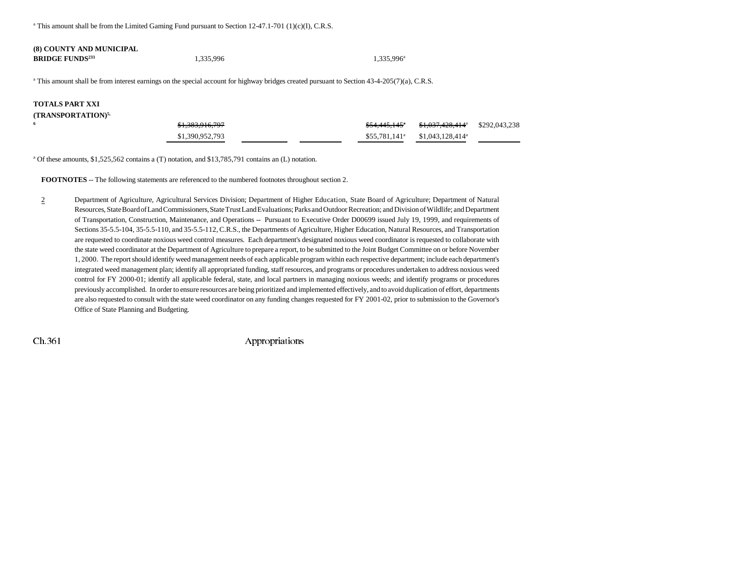<sup>a</sup> This amount shall be from the Limited Gaming Fund pursuant to Section  $12-47.1-701$  (1)(c)(I), C.R.S.

#### **(8) COUNTY AND MUNICIPAL BRIDGE FUNDS<sup>233</sup> 1,335,996** 1,335,996 1,335,996 1,335,996 1,335,996 1,335,996 1,335,996 1,335,996 1,335,996 1,335,996 1,335,996 1,335,996 1,335,996 1,335,996 1,335,996 1,335,996 1,335,996 1,335,996 1,335,996 1,335,996 1,

a This amount shall be from interest earnings on the special account for highway bridges created pursuant to Section 43-4-205(7)(a), C.R.S.

## **TOTALS PART XXI**

**6**

#### **(TRANSPORTATION)5,**

| \$1,383,916,797 |  | <del>\$54.445.145</del> ° | \$1,037,428,414 <sup>a</sup> \$292,043,238 |  |
|-----------------|--|---------------------------|--------------------------------------------|--|
| \$1,390,952,793 |  | \$55,781,141 <sup>a</sup> | \$1.043.128.414 <sup>a</sup>               |  |

a Of these amounts, \$1,525,562 contains a (T) notation, and \$13,785,791 contains an (L) notation.

**FOOTNOTES** -- The following statements are referenced to the numbered footnotes throughout section 2.

2 Department of Agriculture, Agricultural Services Division; Department of Higher Education, State Board of Agriculture; Department of Natural Resources, State Board of Land Commissioners, State Trust Land Evaluations; Parks and Outdoor Recreation; and Division of Wildlife; and Department of Transportation, Construction, Maintenance, and Operations -- Pursuant to Executive Order D00699 issued July 19, 1999, and requirements of Sections 35-5.5-104, 35-5.5-110, and 35-5.5-112, C.R.S., the Departments of Agriculture, Higher Education, Natural Resources, and Transportation are requested to coordinate noxious weed control measures. Each department's designated noxious weed coordinator is requested to collaborate with the state weed coordinator at the Department of Agriculture to prepare a report, to be submitted to the Joint Budget Committee on or before November 1, 2000. The report should identify weed management needs of each applicable program within each respective department; include each department's integrated weed management plan; identify all appropriated funding, staff resources, and programs or procedures undertaken to address noxious weed control for FY 2000-01; identify all applicable federal, state, and local partners in managing noxious weeds; and identify programs or procedures previously accomplished. In order to ensure resources are being prioritized and implemented effectively, and to avoid duplication of effort, departments are also requested to consult with the state weed coordinator on any funding changes requested for FY 2001-02, prior to submission to the Governor's Office of State Planning and Budgeting.

Ch.361 Appropriations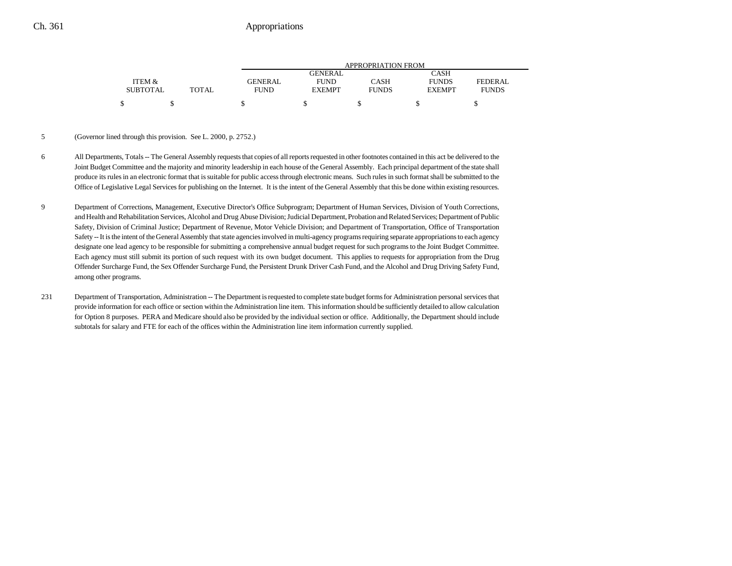## Ch. 361 Appropriations

|                 |              | APPROPRIATION FROM |               |              |               |              |  |  |
|-----------------|--------------|--------------------|---------------|--------------|---------------|--------------|--|--|
|                 |              |                    | GENERAL.      |              | CASH          |              |  |  |
| ITEM &          |              | <b>GENERAL</b>     | <b>FUND</b>   | CASH         | <b>FUNDS</b>  | FEDERAL      |  |  |
| <b>SUBTOTAL</b> | <b>TOTAL</b> | <b>FUND</b>        | <b>EXEMPT</b> | <b>FUNDS</b> | <b>EXEMPT</b> | <b>FUNDS</b> |  |  |
| ¢               |              |                    |               |              |               |              |  |  |

#### 5 (Governor lined through this provision. See L. 2000, p. 2752.)

- 6 All Departments, Totals -- The General Assembly requests that copies of all reports requested in other footnotes contained in this act be delivered to the Joint Budget Committee and the majority and minority leadership in each house of the General Assembly. Each principal department of the state shall produce its rules in an electronic format that is suitable for public access through electronic means. Such rules in such format shall be submitted to the Office of Legislative Legal Services for publishing on the Internet. It is the intent of the General Assembly that this be done within existing resources.
- 9 Department of Corrections, Management, Executive Director's Office Subprogram; Department of Human Services, Division of Youth Corrections, and Health and Rehabilitation Services, Alcohol and Drug Abuse Division; Judicial Department, Probation and Related Services; Department of Public Safety, Division of Criminal Justice; Department of Revenue, Motor Vehicle Division; and Department of Transportation, Office of Transportation Safety -- It is the intent of the General Assembly that state agencies involved in multi-agency programs requiring separate appropriations to each agency designate one lead agency to be responsible for submitting a comprehensive annual budget request for such programs to the Joint Budget Committee. Each agency must still submit its portion of such request with its own budget document. This applies to requests for appropriation from the Drug Offender Surcharge Fund, the Sex Offender Surcharge Fund, the Persistent Drunk Driver Cash Fund, and the Alcohol and Drug Driving Safety Fund, among other programs.
- 231 Department of Transportation, Administration -- The Department is requested to complete state budget forms for Administration personal services that provide information for each office or section within the Administration line item. This information should be sufficiently detailed to allow calculation for Option 8 purposes. PERA and Medicare should also be provided by the individual section or office. Additionally, the Department should include subtotals for salary and FTE for each of the offices within the Administration line item information currently supplied.